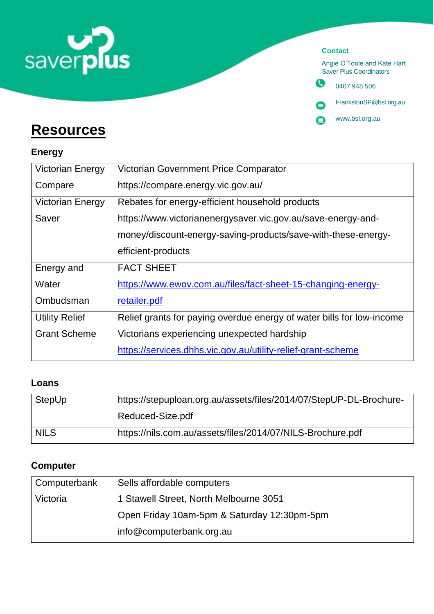

#### **Contact**



# **Resources**

#### **Energy**

| <b>Victorian Energy</b> | <b>Victorian Government Price Comparator</b>                          |
|-------------------------|-----------------------------------------------------------------------|
| Compare                 | https://compare.energy.vic.gov.au/                                    |
| <b>Victorian Energy</b> | Rebates for energy-efficient household products                       |
| Saver                   | https://www.victorianenergysaver.vic.gov.au/save-energy-and-          |
|                         | money/discount-energy-saving-products/save-with-these-energy-         |
|                         | efficient-products                                                    |
| Energy and              | <b>FACT SHEET</b>                                                     |
| Water                   | https://www.ewov.com.au/files/fact-sheet-15-changing-energy-          |
| Ombudsman               | retailer.pdf                                                          |
| <b>Utility Relief</b>   | Relief grants for paying overdue energy of water bills for low-income |
| <b>Grant Scheme</b>     | Victorians experiencing unexpected hardship                           |
|                         | https://services.dhhs.vic.gov.au/utility-relief-grant-scheme          |

#### **Loans**

| StepUp      | https://stepuploan.org.au/assets/files/2014/07/StepUP-DL-Brochure- |
|-------------|--------------------------------------------------------------------|
|             | Reduced-Size.pdf                                                   |
| <b>NILS</b> | https://nils.com.au/assets/files/2014/07/NILS-Brochure.pdf         |

#### **Computer**

| Computerbank | Sells affordable computers                  |
|--------------|---------------------------------------------|
| Victoria     | 1 Stawell Street, North Melbourne 3051      |
|              | Open Friday 10am-5pm & Saturday 12:30pm-5pm |
|              | info@computerbank.org.au                    |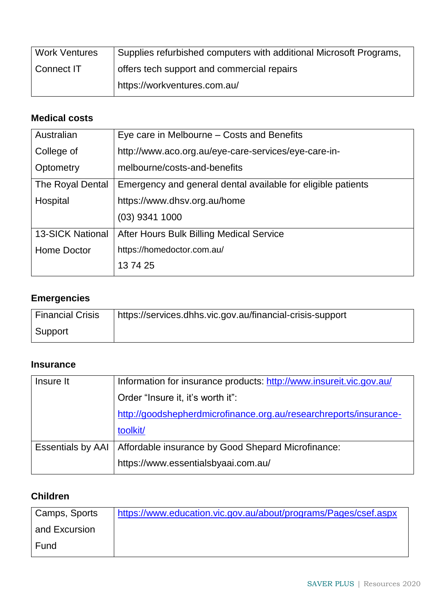| <b>Work Ventures</b> | Supplies refurbished computers with additional Microsoft Programs, |
|----------------------|--------------------------------------------------------------------|
| Connect IT           | offers tech support and commercial repairs                         |
|                      | https://workventures.com.au/                                       |

#### **Medical costs**

| Australian              | Eye care in Melbourne – Costs and Benefits                   |
|-------------------------|--------------------------------------------------------------|
| College of              | http://www.aco.org.au/eye-care-services/eye-care-in-         |
| Optometry               | melbourne/costs-and-benefits                                 |
| The Royal Dental        | Emergency and general dental available for eligible patients |
| Hospital                | https://www.dhsv.org.au/home                                 |
|                         | $(03)$ 9341 1000                                             |
| <b>13-SICK National</b> | After Hours Bulk Billing Medical Service                     |
| Home Doctor             | https://homedoctor.com.au/                                   |
|                         | 137425                                                       |

# **Emergencies**

| <b>Financial Crisis</b> | https://services.dhhs.vic.gov.au/financial-crisis-support |
|-------------------------|-----------------------------------------------------------|
| Support                 |                                                           |

### **Insurance**

| Insure It                | Information for insurance products: http://www.insureit.vic.gov.au/ |
|--------------------------|---------------------------------------------------------------------|
|                          | Order "Insure it, it's worth it":                                   |
|                          | http://goodshepherdmicrofinance.org.au/researchreports/insurance-   |
|                          | toolkit/                                                            |
| <b>Essentials by AAI</b> | Affordable insurance by Good Shepard Microfinance:                  |
|                          | https://www.essentialsbyaai.com.au/                                 |

# **Children**

| Camps, Sports | https://www.education.vic.gov.au/about/programs/Pages/csef.aspx |
|---------------|-----------------------------------------------------------------|
| and Excursion |                                                                 |
| Fund          |                                                                 |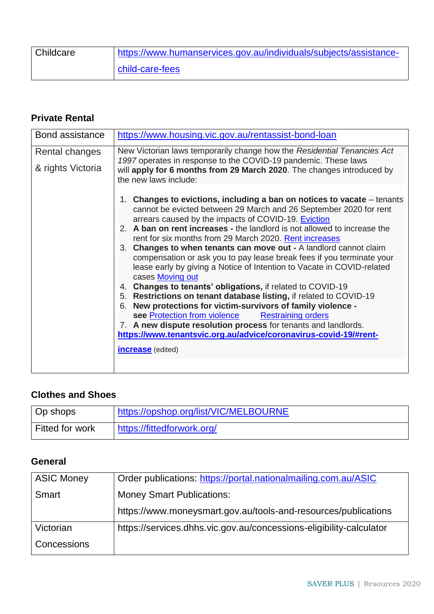| Childcare | https://www.humanservices.gov.au/individuals/subjects/assistance- |
|-----------|-------------------------------------------------------------------|
|           | child-care-fees                                                   |

#### **Private Rental**

| Bond assistance                     | https://www.housing.vic.gov.au/rentassist-bond-loan                                                                                                                                                                                                                                                                                                                                                                                                                                                                                                                                                                                                                                                                                                                                                                                                                                                                                                                                                                            |
|-------------------------------------|--------------------------------------------------------------------------------------------------------------------------------------------------------------------------------------------------------------------------------------------------------------------------------------------------------------------------------------------------------------------------------------------------------------------------------------------------------------------------------------------------------------------------------------------------------------------------------------------------------------------------------------------------------------------------------------------------------------------------------------------------------------------------------------------------------------------------------------------------------------------------------------------------------------------------------------------------------------------------------------------------------------------------------|
| Rental changes<br>& rights Victoria | New Victorian laws temporarily change how the Residential Tenancies Act<br>1997 operates in response to the COVID-19 pandemic. These laws<br>will apply for 6 months from 29 March 2020. The changes introduced by<br>the new laws include:                                                                                                                                                                                                                                                                                                                                                                                                                                                                                                                                                                                                                                                                                                                                                                                    |
|                                     | Changes to evictions, including a ban on notices to vacate – tenants<br>1.<br>cannot be evicted between 29 March and 26 September 2020 for rent<br>arrears caused by the impacts of COVID-19. Eviction<br>2. A ban on rent increases - the landlord is not allowed to increase the<br>rent for six months from 29 March 2020. Rent increases<br>3. Changes to when tenants can move out - A landlord cannot claim<br>compensation or ask you to pay lease break fees if you terminate your<br>lease early by giving a Notice of Intention to Vacate in COVID-related<br>cases Moving out<br>4. Changes to tenants' obligations, if related to COVID-19<br>5. Restrictions on tenant database listing, if related to COVID-19<br>New protections for victim-survivors of family violence -<br>6.<br>see Protection from violence<br><b>Restraining orders</b><br>7. A new dispute resolution process for tenants and landlords.<br>https://www.tenantsvic.org.au/advice/coronavirus-covid-19/#rent-<br><b>increase</b> (edited) |

### **Clothes and Shoes**

| Op shops               | https://opshop.org/list/VIC/MELBOURNE |
|------------------------|---------------------------------------|
| <b>Fitted for work</b> | https://fittedforwork.org/            |

### **General**

| <b>ASIC Money</b> | Order publications: https://portal.nationalmailing.com.au/ASIC      |
|-------------------|---------------------------------------------------------------------|
| Smart             | <b>Money Smart Publications:</b>                                    |
|                   | https://www.moneysmart.gov.au/tools-and-resources/publications      |
| Victorian         | https://services.dhhs.vic.gov.au/concessions-eligibility-calculator |
| Concessions       |                                                                     |